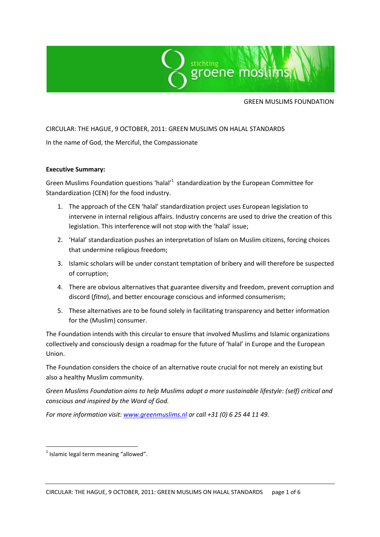

GREEN MUSLIMS FOUNDATION

### CIRCULAR: THE HAGUE, 9 OCTOBER, 2011: GREEN MUSLIMS ON HALAL STANDARDS

In the name of God, the Merciful, the Compassionate

#### **Executive Summary:**

Green Muslims Foundation questions 'halal'<sup>1</sup> standardization by the European Committee for Standardization (CEN) for the food industry.

- 1. The approach of the CEN 'halal' standardization project uses European legislation to intervene in internal religious affairs. Industry concerns are used to drive the creation of this legislation. This interference will not stop with the 'halal' issue;
- 2. 'Halal' standardization pushes an interpretation of Islam on Muslim citizens, forcing choices that undermine religious freedom;
- 3. Islamic scholars will be under constant temptation of bribery and will therefore be suspected of corruption;
- 4. There are obvious alternatives that guarantee diversity and freedom, prevent corruption and discord (*fitna*), and better encourage conscious and informed consumerism;
- 5. These alternatives are to be found solely in facilitating transparency and better information for the (Muslim) consumer.

The Foundation intends with this circular to ensure that involved Muslims and Islamic organizations collectively and consciously design a roadmap for the future of 'halal' in Europe and the European Union.

The Foundation considers the choice of an alternative route crucial for not merely an existing but also a healthy Muslim community.

*Green Muslims Foundation aims to help Muslims adopt a more sustainable lifestyle: (self) critical and conscious and inspired by the Word of God.*

*For more information visit[: www.greenmuslims.nl](http://www.greenmuslims.nl/) or call +31 (0) 6 25 44 11 49.*

**.** 

 $<sup>1</sup>$  Islamic legal term meaning "allowed".</sup>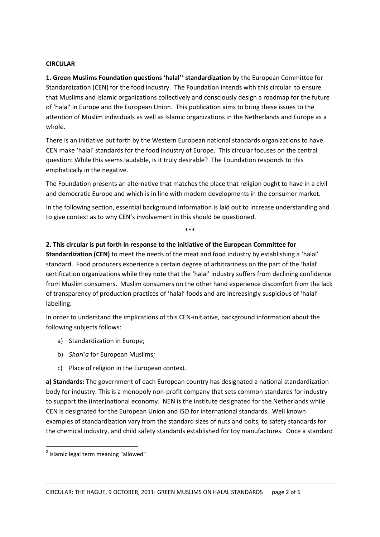### **CIRCULAR**

**1. Green Muslims Foundation questions 'halal'**<sup>2</sup> **standardization** by the European Committee for Standardization (CEN) for the food industry. The Foundation intends with this circular to ensure that Muslims and Islamic organizations collectively and consciously design a roadmap for the future of 'halal' in Europe and the European Union. This publication aims to bring these issues to the attention of Muslim individuals as well as Islamic organizations in the Netherlands and Europe as a whole.

There is an initiative put forth by the Western European national standards organizations to have CEN make 'halal' standards for the food industry of Europe. This circular focuses on the central question: While this seems laudable, is it truly desirable?The Foundation responds to this emphatically in the negative.

The Foundation presents an alternative that matches the place that religion ought to have in a civil and democratic Europe and which is in line with modern developments in the consumer market.

In the following section, essential background information is laid out to increase understanding and to give context as to why CEN's involvement in this should be questioned.

\*\*\*

# **2. This circular is put forth in response to the initiative of the European Committee for**

**Standardization (CEN)** to meet the needs of the meat and food industry by establishing a 'halal' standard. Food producers experience a certain degree of arbitrariness on the part of the 'halal' certification organizations while they note that the 'halal' industry suffers from declining confidence from Muslim consumers. Muslim consumers on the other hand experience discomfort from the lack of transparency of production practices of 'halal' foods and are increasingly suspicious of 'halal' labelling.

In order to understand the implications of this CEN-initiative, background information about the following subjects follows:

- a) Standardization in Europe;
- b) *Shari'a* for European Muslims*;*
- c) Place of religion in the European context.

**a) Standards:** The government of each European country has designated a national standardization body for industry. This is a monopoly non-profit company that sets common standards for industry to support the (inter)national economy. NEN is the institute designated for the Netherlands while CEN is designated for the European Union and ISO for international standards. Well known examples of standardization vary from the standard sizes of nuts and bolts, to safety standards for the chemical industry, and child safety standards established for toy manufactures. Once a standard

**.** 

<sup>&</sup>lt;sup>2</sup> Islamic legal term meaning "allowed"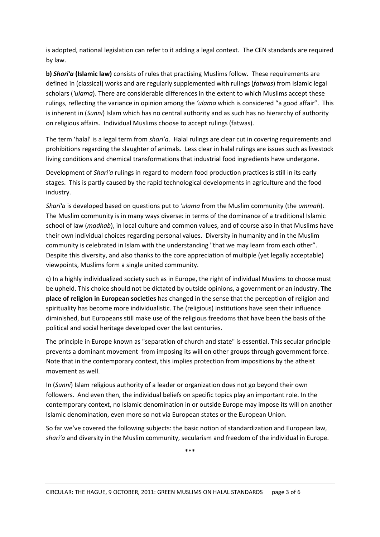is adopted, national legislation can refer to it adding a legal context. The CEN standards are required by law.

**b)** *Shari'a* **(Islamic law)** consists of rules that practising Muslims follow. These requirements are defined in (classical) works and are regularly supplemented with rulings (*fatwas*) from Islamic legal scholars (*'ulama*). There are considerable differences in the extent to which Muslims accept these rulings, reflecting the variance in opinion among the *'ulama* which is considered "a good affair". This is inherent in (*Sunni*) Islam which has no central authority and as such has no hierarchy of authority on religious affairs. Individual Muslims choose to accept rulings (fatwas).

The term 'halal' is a legal term from *shari'a*. Halal rulings are clear cut in covering requirements and prohibitions regarding the slaughter of animals. Less clear in halal rulings are issues such as livestock living conditions and chemical transformations that industrial food ingredients have undergone.

Development of *Shari'a* rulings in regard to modern food production practices is still in its early stages. This is partly caused by the rapid technological developments in agriculture and the food industry.

*Shari'a* is developed based on questions put to *'ulama* from the Muslim community (the *ummah*). The Muslim community is in many ways diverse: in terms of the dominance of a traditional Islamic school of law (*madhab*), in local culture and common values, and of course also in that Muslims have their own individual choices regarding personal values. Diversity in humanity and in the Muslim community is celebrated in Islam with the understanding "that we may learn from each other". Despite this diversity, and also thanks to the core appreciation of multiple (yet legally acceptable) viewpoints, Muslims form a single united community.

c) In a highly individualized society such as in Europe, the right of individual Muslims to choose must be upheld. This choice should not be dictated by outside opinions, a government or an industry. **The place of religion in European societies** has changed in the sense that the perception of religion and spirituality has become more individualistic. The (religious) institutions have seen their influence diminished, but Europeans still make use of the religious freedoms that have been the basis of the political and social heritage developed over the last centuries.

The principle in Europe known as "separation of church and state" is essential. This secular principle prevents a dominant movement from imposing its will on other groups through government force. Note that in the contemporary context, this implies protection from impositions by the atheist movement as well.

In (*Sunni*) Islam religious authority of a leader or organization does not go beyond their own followers. And even then, the individual beliefs on specific topics play an important role. In the contemporary context, no Islamic denomination in or outside Europe may impose its will on another Islamic denomination, even more so not via European states or the European Union.

So far we've covered the following subjects: the basic notion of standardization and European law, *shari'a* and diversity in the Muslim community, secularism and freedom of the individual in Europe.

\*\*\*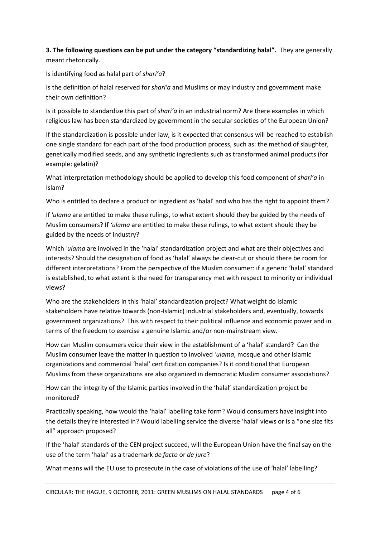**3. The following questions can be put under the category "standardizing halal".** They are generally meant rhetorically.

Is identifying food as halal part of *shari'a*?

Is the definition of halal reserved for *shari'a* and Muslims or may industry and government make their own definition?

Is it possible to standardize this part of *shari'a* in an industrial norm? Are there examples in which religious law has been standardized by government in the secular societies of the European Union?

If the standardization is possible under law, is it expected that consensus will be reached to establish one single standard for each part of the food production process, such as: the method of slaughter, genetically modified seeds, and any synthetic ingredients such as transformed animal products (for example: gelatin)?

What interpretation methodology should be applied to develop this food component of *shari'a* in Islam?

Who is entitled to declare a product or ingredient as 'halal' and who has the right to appoint them?

If *'ulama* are entitled to make these rulings, to what extent should they be guided by the needs of Muslim consumers? If *'ulama* are entitled to make these rulings, to what extent should they be guided by the needs of industry?

Which *'ulama* are involved in the 'halal' standardization project and what are their objectives and interests? Should the designation of food as 'halal' always be clear-cut or should there be room for different interpretations? From the perspective of the Muslim consumer: if a generic 'halal' standard is established, to what extent is the need for transparency met with respect to minority or individual views?

Who are the stakeholders in this 'halal' standardization project? What weight do Islamic stakeholders have relative towards (non-Islamic) industrial stakeholders and, eventually, towards government organizations? This with respect to their political influence and economic power and in terms of the freedom to exercise a genuine Islamic and/or non-mainstream view.

How can Muslim consumers voice their view in the establishment of a 'halal' standard? Can the Muslim consumer leave the matter in question to involved *'ulama*, mosque and other Islamic organizations and commercial 'halal' certification companies? Is it conditional that European Muslims from these organizations are also organized in democratic Muslim consumer associations?

How can the integrity of the Islamic parties involved in the 'halal' standardization project be monitored?

Practically speaking, how would the 'halal' labelling take form? Would consumers have insight into the details they're interested in? Would labelling service the diverse 'halal' views or is a "one size fits all" approach proposed?

If the 'halal' standards of the CEN project succeed, will the European Union have the final say on the use of the term 'halal' as a trademark *de facto* or *de jure*?

What means will the EU use to prosecute in the case of violations of the use of 'halal' labelling?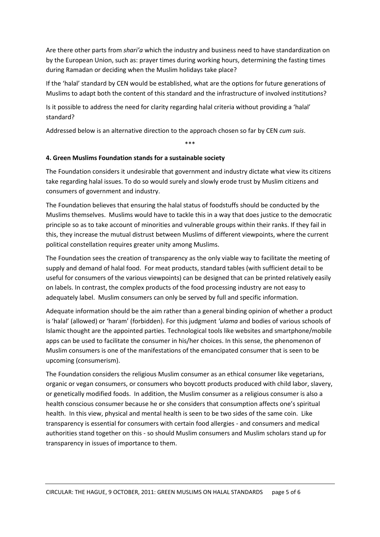Are there other parts from *shari'a* which the industry and business need to have standardization on by the European Union, such as: prayer times during working hours, determining the fasting times during Ramadan or deciding when the Muslim holidays take place?

If the 'halal' standard by CEN would be established, what are the options for future generations of Muslims to adapt both the content of this standard and the infrastructure of involved institutions?

Is it possible to address the need for clarity regarding halal criteria without providing a 'halal' standard?

Addressed below is an alternative direction to the approach chosen so far by CEN *cum suis*.

\*\*\*

# **4. Green Muslims Foundation stands for a sustainable society**

The Foundation considers it undesirable that government and industry dictate what view its citizens take regarding halal issues. To do so would surely and slowly erode trust by Muslim citizens and consumers of government and industry.

The Foundation believes that ensuring the halal status of foodstuffs should be conducted by the Muslims themselves. Muslims would have to tackle this in a way that does justice to the democratic principle so as to take account of minorities and vulnerable groups within their ranks. If they fail in this, they increase the mutual distrust between Muslims of different viewpoints, where the current political constellation requires greater unity among Muslims.

The Foundation sees the creation of transparency as the only viable way to facilitate the meeting of supply and demand of halal food. For meat products, standard tables (with sufficient detail to be useful for consumers of the various viewpoints) can be designed that can be printed relatively easily on labels. In contrast, the complex products of the food processing industry are not easy to adequately label. Muslim consumers can only be served by full and specific information.

Adequate information should be the aim rather than a general binding opinion of whether a product is 'halal' (allowed) or 'haram' (forbidden). For this judgment *'ulama* and bodies of various schools of Islamic thought are the appointed parties. Technological tools like websites and smartphone/mobile apps can be used to facilitate the consumer in his/her choices. In this sense, the phenomenon of Muslim consumers is one of the manifestations of the emancipated consumer that is seen to be upcoming (consumerism).

The Foundation considers the religious Muslim consumer as an ethical consumer like vegetarians, organic or vegan consumers, or consumers who boycott products produced with child labor, slavery, or genetically modified foods. In addition, the Muslim consumer as a religious consumer is also a health conscious consumer because he or she considers that consumption affects one's spiritual health. In this view, physical and mental health is seen to be two sides of the same coin. Like transparency is essential for consumers with certain food allergies - and consumers and medical authorities stand together on this - so should Muslim consumers and Muslim scholars stand up for transparency in issues of importance to them.